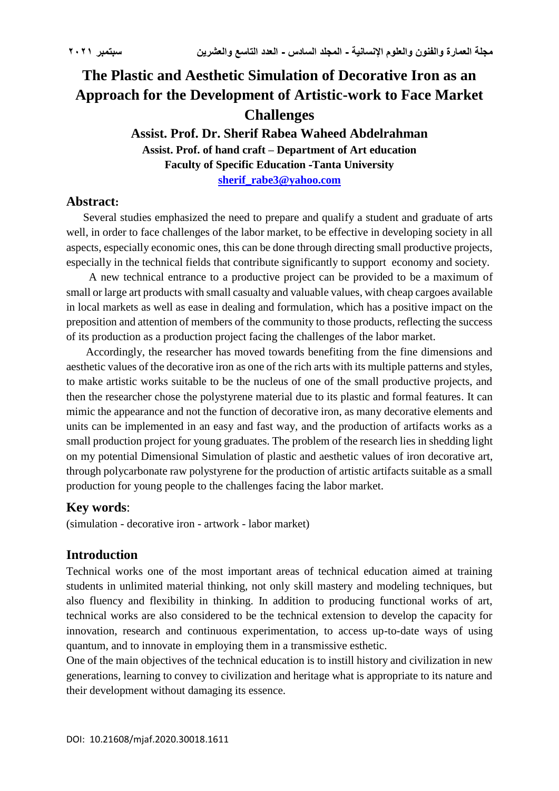# **The Plastic and Aesthetic Simulation of Decorative Iron as an Approach for the Development of Artistic-work to Face Market Challenges**

**Assist. Prof. Dr. Sherif Rabea Waheed Abdelrahman Assist. Prof. of hand craft – Department of Art education Faculty of Specific Education -Tanta University [sherif\\_rabe3@yahoo.com](mailto:sherif_rabe3@yahoo.com)**

#### **Abstract:**

 Several studies emphasized the need to prepare and qualify a student and graduate of arts well, in order to face challenges of the labor market, to be effective in developing society in all aspects, especially economic ones, this can be done through directing small productive projects, especially in the technical fields that contribute significantly to support economy and society.

 A new technical entrance to a productive project can be provided to be a maximum of small or large art products with small casualty and valuable values, with cheap cargoes available in local markets as well as ease in dealing and formulation, which has a positive impact on the preposition and attention of members of the community to those products, reflecting the success of its production as a production project facing the challenges of the labor market.

 Accordingly, the researcher has moved towards benefiting from the fine dimensions and aesthetic values of the decorative iron as one of the rich arts with its multiple patterns and styles, to make artistic works suitable to be the nucleus of one of the small productive projects, and then the researcher chose the polystyrene material due to its plastic and formal features. It can mimic the appearance and not the function of decorative iron, as many decorative elements and units can be implemented in an easy and fast way, and the production of artifacts works as a small production project for young graduates. The problem of the research lies in shedding light on my potential Dimensional Simulation of plastic and aesthetic values of iron decorative art, through polycarbonate raw polystyrene for the production of artistic artifacts suitable as a small production for young people to the challenges facing the labor market.

### **Key words**:

(simulation - decorative iron - artwork - labor market)

### **Introduction**

Technical works one of the most important areas of technical education aimed at training students in unlimited material thinking, not only skill mastery and modeling techniques, but also fluency and flexibility in thinking. In addition to producing functional works of art, technical works are also considered to be the technical extension to develop the capacity for innovation, research and continuous experimentation, to access up-to-date ways of using quantum, and to innovate in employing them in a transmissive esthetic.

One of the main objectives of the technical education is to instill history and civilization in new generations, learning to convey to civilization and heritage what is appropriate to its nature and their development without damaging its essence.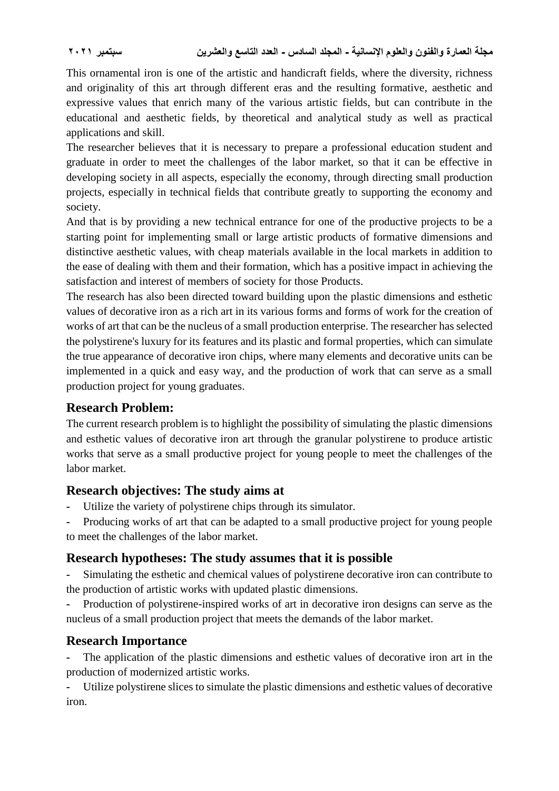This ornamental iron is one of the artistic and handicraft fields, where the diversity, richness and originality of this art through different eras and the resulting formative, aesthetic and expressive values that enrich many of the various artistic fields, but can contribute in the educational and aesthetic fields, by theoretical and analytical study as well as practical applications and skill.

The researcher believes that it is necessary to prepare a professional education student and graduate in order to meet the challenges of the labor market, so that it can be effective in developing society in all aspects, especially the economy, through directing small production projects, especially in technical fields that contribute greatly to supporting the economy and society.

And that is by providing a new technical entrance for one of the productive projects to be a starting point for implementing small or large artistic products of formative dimensions and distinctive aesthetic values, with cheap materials available in the local markets in addition to the ease of dealing with them and their formation, which has a positive impact in achieving the satisfaction and interest of members of society for those Products.

The research has also been directed toward building upon the plastic dimensions and esthetic values of decorative iron as a rich art in its various forms and forms of work for the creation of works of art that can be the nucleus of a small production enterprise. The researcher has selected the polystirene's luxury for its features and its plastic and formal properties, which can simulate the true appearance of decorative iron chips, where many elements and decorative units can be implemented in a quick and easy way, and the production of work that can serve as a small production project for young graduates.

## **Research Problem:**

The current research problem is to highlight the possibility of simulating the plastic dimensions and esthetic values of decorative iron art through the granular polystirene to produce artistic works that serve as a small productive project for young people to meet the challenges of the labor market.

## **Research objectives: The study aims at**

- **-** Utilize the variety of polystirene chips through its simulator.
- **-** Producing works of art that can be adapted to a small productive project for young people to meet the challenges of the labor market.

## **Research hypotheses: The study assumes that it is possible**

**-** Simulating the esthetic and chemical values of polystirene decorative iron can contribute to the production of artistic works with updated plastic dimensions.

**-** Production of polystirene-inspired works of art in decorative iron designs can serve as the nucleus of a small production project that meets the demands of the labor market.

## **Research Importance**

**-** The application of the plastic dimensions and esthetic values of decorative iron art in the production of modernized artistic works.

**-** Utilize polystirene slices to simulate the plastic dimensions and esthetic values of decorative iron.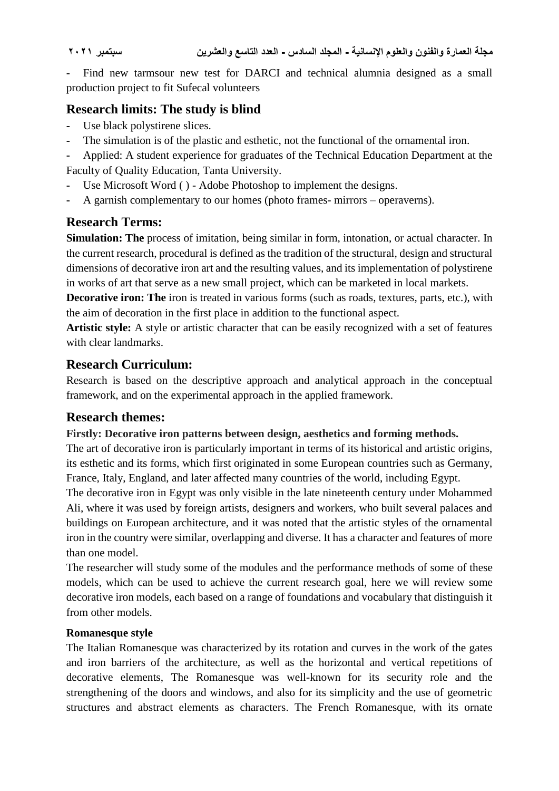Find new tarmsour new test for DARCI and technical alumnia designed as a small production project to fit Sufecal volunteers

## **Research limits: The study is blind**

- **-** Use black polystirene slices.
- **-** The simulation is of the plastic and esthetic, not the functional of the ornamental iron.

**-** Applied: A student experience for graduates of the Technical Education Department at the Faculty of Quality Education, Tanta University.

- Use Microsoft Word ( ) Adobe Photoshop to implement the designs.
- **-** A garnish complementary to our homes (photo frames- mirrors operaverns).

## **Research Terms:**

**Simulation: The** process of imitation, being similar in form, intonation, or actual character. In the current research, procedural is defined as the tradition of the structural, design and structural dimensions of decorative iron art and the resulting values, and its implementation of polystirene in works of art that serve as a new small project, which can be marketed in local markets.

**Decorative iron: The** iron is treated in various forms (such as roads, textures, parts, etc.), with the aim of decoration in the first place in addition to the functional aspect.

**Artistic style:** A style or artistic character that can be easily recognized with a set of features with clear landmarks.

## **Research Curriculum:**

Research is based on the descriptive approach and analytical approach in the conceptual framework, and on the experimental approach in the applied framework.

## **Research themes:**

#### **Firstly: Decorative iron patterns between design, aesthetics and forming methods.**

The art of decorative iron is particularly important in terms of its historical and artistic origins, its esthetic and its forms, which first originated in some European countries such as Germany, France, Italy, England, and later affected many countries of the world, including Egypt.

The decorative iron in Egypt was only visible in the late nineteenth century under Mohammed Ali, where it was used by foreign artists, designers and workers, who built several palaces and buildings on European architecture, and it was noted that the artistic styles of the ornamental iron in the country were similar, overlapping and diverse. It has a character and features of more than one model.

The researcher will study some of the modules and the performance methods of some of these models, which can be used to achieve the current research goal, here we will review some decorative iron models, each based on a range of foundations and vocabulary that distinguish it from other models.

### **Romanesque style**

The Italian Romanesque was characterized by its rotation and curves in the work of the gates and iron barriers of the architecture, as well as the horizontal and vertical repetitions of decorative elements, The Romanesque was well-known for its security role and the strengthening of the doors and windows, and also for its simplicity and the use of geometric structures and abstract elements as characters. The French Romanesque, with its ornate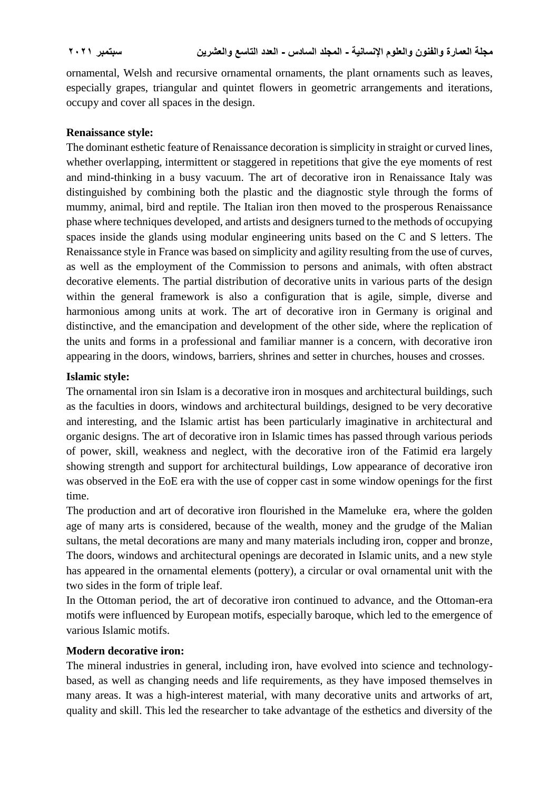ornamental, Welsh and recursive ornamental ornaments, the plant ornaments such as leaves, especially grapes, triangular and quintet flowers in geometric arrangements and iterations, occupy and cover all spaces in the design.

#### **Renaissance style:**

The dominant esthetic feature of Renaissance decoration is simplicity in straight or curved lines, whether overlapping, intermittent or staggered in repetitions that give the eye moments of rest and mind-thinking in a busy vacuum. The art of decorative iron in Renaissance Italy was distinguished by combining both the plastic and the diagnostic style through the forms of mummy, animal, bird and reptile. The Italian iron then moved to the prosperous Renaissance phase where techniques developed, and artists and designers turned to the methods of occupying spaces inside the glands using modular engineering units based on the C and S letters. The Renaissance style in France was based on simplicity and agility resulting from the use of curves, as well as the employment of the Commission to persons and animals, with often abstract decorative elements. The partial distribution of decorative units in various parts of the design within the general framework is also a configuration that is agile, simple, diverse and harmonious among units at work. The art of decorative iron in Germany is original and distinctive, and the emancipation and development of the other side, where the replication of the units and forms in a professional and familiar manner is a concern, with decorative iron appearing in the doors, windows, barriers, shrines and setter in churches, houses and crosses.

#### **Islamic style:**

The ornamental iron sin Islam is a decorative iron in mosques and architectural buildings, such as the faculties in doors, windows and architectural buildings, designed to be very decorative and interesting, and the Islamic artist has been particularly imaginative in architectural and organic designs. The art of decorative iron in Islamic times has passed through various periods of power, skill, weakness and neglect, with the decorative iron of the Fatimid era largely showing strength and support for architectural buildings, Low appearance of decorative iron was observed in the EoE era with the use of copper cast in some window openings for the first time.

The production and art of decorative iron flourished in the Mameluke era, where the golden age of many arts is considered, because of the wealth, money and the grudge of the Malian sultans, the metal decorations are many and many materials including iron, copper and bronze, The doors, windows and architectural openings are decorated in Islamic units, and a new style has appeared in the ornamental elements (pottery), a circular or oval ornamental unit with the two sides in the form of triple leaf.

In the Ottoman period, the art of decorative iron continued to advance, and the Ottoman-era motifs were influenced by European motifs, especially baroque, which led to the emergence of various Islamic motifs.

#### **Modern decorative iron:**

The mineral industries in general, including iron, have evolved into science and technologybased, as well as changing needs and life requirements, as they have imposed themselves in many areas. It was a high-interest material, with many decorative units and artworks of art, quality and skill. This led the researcher to take advantage of the esthetics and diversity of the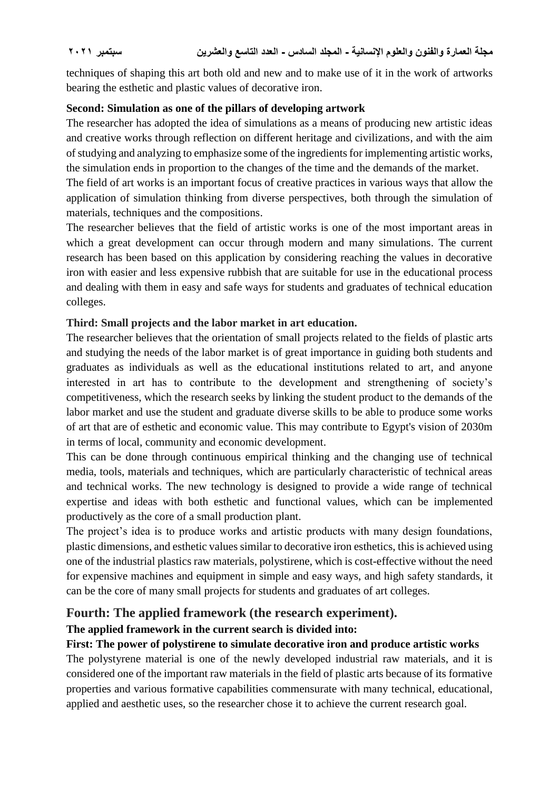techniques of shaping this art both old and new and to make use of it in the work of artworks bearing the esthetic and plastic values of decorative iron.

#### **Second: Simulation as one of the pillars of developing artwork**

The researcher has adopted the idea of simulations as a means of producing new artistic ideas and creative works through reflection on different heritage and civilizations, and with the aim of studying and analyzing to emphasize some of the ingredients for implementing artistic works, the simulation ends in proportion to the changes of the time and the demands of the market.

The field of art works is an important focus of creative practices in various ways that allow the application of simulation thinking from diverse perspectives, both through the simulation of materials, techniques and the compositions.

The researcher believes that the field of artistic works is one of the most important areas in which a great development can occur through modern and many simulations. The current research has been based on this application by considering reaching the values in decorative iron with easier and less expensive rubbish that are suitable for use in the educational process and dealing with them in easy and safe ways for students and graduates of technical education colleges.

#### **Third: Small projects and the labor market in art education.**

The researcher believes that the orientation of small projects related to the fields of plastic arts and studying the needs of the labor market is of great importance in guiding both students and graduates as individuals as well as the educational institutions related to art, and anyone interested in art has to contribute to the development and strengthening of society's competitiveness, which the research seeks by linking the student product to the demands of the labor market and use the student and graduate diverse skills to be able to produce some works of art that are of esthetic and economic value. This may contribute to Egypt's vision of 2030m in terms of local, community and economic development.

This can be done through continuous empirical thinking and the changing use of technical media, tools, materials and techniques, which are particularly characteristic of technical areas and technical works. The new technology is designed to provide a wide range of technical expertise and ideas with both esthetic and functional values, which can be implemented productively as the core of a small production plant.

The project's idea is to produce works and artistic products with many design foundations, plastic dimensions, and esthetic values similar to decorative iron esthetics, this is achieved using one of the industrial plastics raw materials, polystirene, which is cost-effective without the need for expensive machines and equipment in simple and easy ways, and high safety standards, it can be the core of many small projects for students and graduates of art colleges.

### **Fourth: The applied framework (the research experiment).**

#### **The applied framework in the current search is divided into:**

#### **First: The power of polystirene to simulate decorative iron and produce artistic works**

The polystyrene material is one of the newly developed industrial raw materials, and it is considered one of the important raw materials in the field of plastic arts because of its formative properties and various formative capabilities commensurate with many technical, educational, applied and aesthetic uses, so the researcher chose it to achieve the current research goal.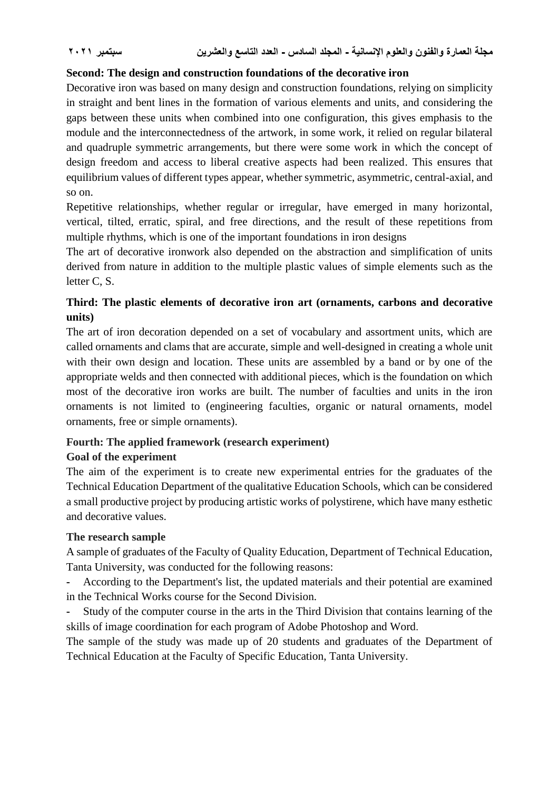#### **Second: The design and construction foundations of the decorative iron**

Decorative iron was based on many design and construction foundations, relying on simplicity in straight and bent lines in the formation of various elements and units, and considering the gaps between these units when combined into one configuration, this gives emphasis to the module and the interconnectedness of the artwork, in some work, it relied on regular bilateral and quadruple symmetric arrangements, but there were some work in which the concept of design freedom and access to liberal creative aspects had been realized. This ensures that equilibrium values of different types appear, whether symmetric, asymmetric, central-axial, and so on.

Repetitive relationships, whether regular or irregular, have emerged in many horizontal, vertical, tilted, erratic, spiral, and free directions, and the result of these repetitions from multiple rhythms, which is one of the important foundations in iron designs

The art of decorative ironwork also depended on the abstraction and simplification of units derived from nature in addition to the multiple plastic values of simple elements such as the letter C, S.

### **Third: The plastic elements of decorative iron art (ornaments, carbons and decorative units)**

The art of iron decoration depended on a set of vocabulary and assortment units, which are called ornaments and clams that are accurate, simple and well-designed in creating a whole unit with their own design and location. These units are assembled by a band or by one of the appropriate welds and then connected with additional pieces, which is the foundation on which most of the decorative iron works are built. The number of faculties and units in the iron ornaments is not limited to (engineering faculties, organic or natural ornaments, model ornaments, free or simple ornaments).

#### **Fourth: The applied framework (research experiment) Goal of the experiment**

The aim of the experiment is to create new experimental entries for the graduates of the Technical Education Department of the qualitative Education Schools, which can be considered a small productive project by producing artistic works of polystirene, which have many esthetic and decorative values.

#### **The research sample**

A sample of graduates of the Faculty of Quality Education, Department of Technical Education, Tanta University, was conducted for the following reasons:

**-** According to the Department's list, the updated materials and their potential are examined in the Technical Works course for the Second Division.

**-** Study of the computer course in the arts in the Third Division that contains learning of the skills of image coordination for each program of Adobe Photoshop and Word.

The sample of the study was made up of 20 students and graduates of the Department of Technical Education at the Faculty of Specific Education, Tanta University.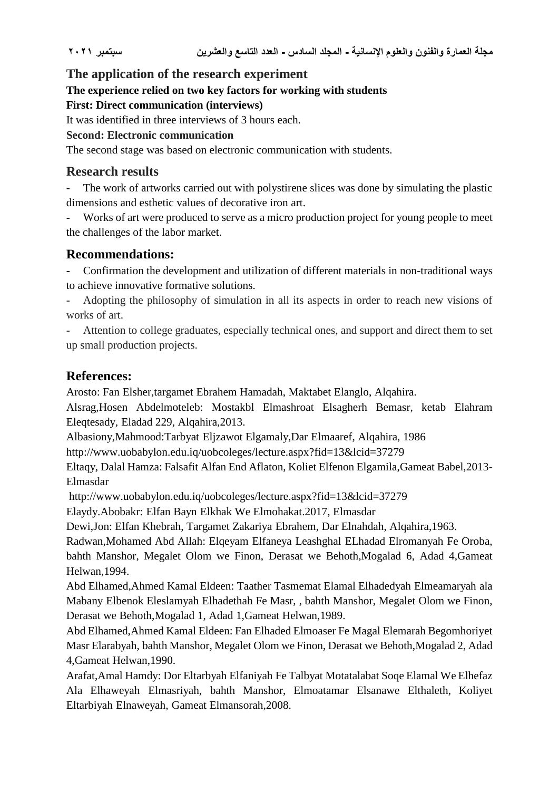## **The application of the research experiment**

### **The experience relied on two key factors for working with students**

### **First: Direct communication (interviews)**

It was identified in three interviews of 3 hours each.

### **Second: Electronic communication**

The second stage was based on electronic communication with students.

## **Research results**

**-** The work of artworks carried out with polystirene slices was done by simulating the plastic dimensions and esthetic values of decorative iron art.

**-** Works of art were produced to serve as a micro production project for young people to meet the challenges of the labor market.

## **Recommendations:**

**-** Confirmation the development and utilization of different materials in non-traditional ways to achieve innovative formative solutions.

**-** Adopting the philosophy of simulation in all its aspects in order to reach new visions of works of art.

**-** Attention to college graduates, especially technical ones, and support and direct them to set up small production projects.

## **References:**

Arosto: Fan Elsher,targamet Ebrahem Hamadah, Maktabet Elanglo, Alqahira.

Alsrag,Hosen Abdelmoteleb: Mostakbl Elmashroat Elsagherh Bemasr, ketab Elahram Eleqtesady, Eladad 229, Alqahira,2013.

Albasiony,Mahmood:Tarbyat Eljzawot Elgamaly,Dar Elmaaref, Alqahira, 1986

http://www.uobabylon.edu.iq/uobcoleges/lecture.aspx?fid=13&lcid=37279

Eltaqy, Dalal Hamza: Falsafit Alfan End Aflaton, Koliet Elfenon Elgamila,Gameat Babel,2013- Elmasdar

http://www.uobabylon.edu.iq/uobcoleges/lecture.aspx?fid=13&lcid=37279

Elaydy.Abobakr: Elfan Bayn Elkhak We Elmohakat.2017, Elmasdar

Dewi,Jon: Elfan Khebrah, Targamet Zakariya Ebrahem, Dar Elnahdah, Alqahira,1963.

Radwan,Mohamed Abd Allah: Elqeyam Elfaneya Leashghal ELhadad Elromanyah Fe Oroba, bahth Manshor, Megalet Olom we Finon, Derasat we Behoth,Mogalad 6, Adad 4,Gameat Helwan,1994.

Abd Elhamed,Ahmed Kamal Eldeen: Taather Tasmemat Elamal Elhadedyah Elmeamaryah ala Mabany Elbenok Eleslamyah Elhadethah Fe Masr, , bahth Manshor, Megalet Olom we Finon, Derasat we Behoth,Mogalad 1, Adad 1,Gameat Helwan,1989.

Abd Elhamed,Ahmed Kamal Eldeen: Fan Elhaded Elmoaser Fe Magal Elemarah Begomhoriyet Masr Elarabyah, bahth Manshor, Megalet Olom we Finon, Derasat we Behoth,Mogalad 2, Adad 4,Gameat Helwan,1990.

Arafat,Amal Hamdy: Dor Eltarbyah Elfaniyah Fe Talbyat Motatalabat Soqe Elamal We Elhefaz Ala Elhaweyah Elmasriyah, bahth Manshor, Elmoatamar Elsanawe Elthaleth, Koliyet Eltarbiyah Elnaweyah, Gameat Elmansorah,2008.